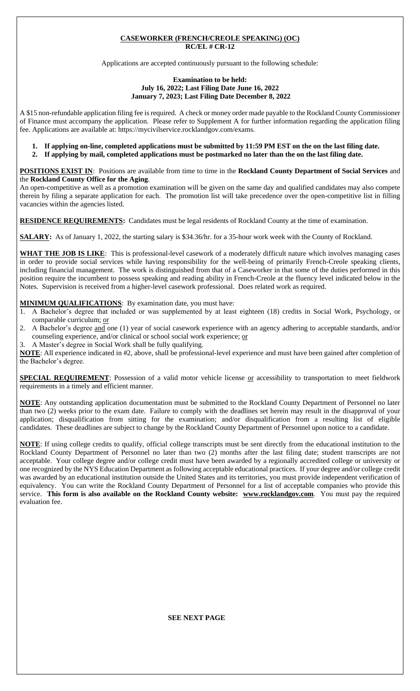#### **CASEWORKER (FRENCH/CREOLE SPEAKING) (OC) RC/EL # CR-12**

Applications are accepted continuously pursuant to the following schedule:

#### **Examination to be held: July 16, 2022; Last Filing Date June 16, 2022 January 7, 2023; Last Filing Date December 8, 2022**

A \$15 non-refundable application filing fee is required. A check or money order made payable to the Rockland County Commissioner of Finance must accompany the application. Please refer to Supplement A for further information regarding the application filing fee. Applications are available at: https://mycivilservice.rocklandgov.com/exams.

- **1. If applying on-line, completed applications must be submitted by 11:59 PM EST on the on the last filing date.**
- **2. If applying by mail, completed applications must be postmarked no later than the on the last filing date.**

**POSITIONS EXIST IN**:Positions are available from time to time in the **Rockland County Department of Social Services** and the **Rockland County Office for the Aging**.

An open-competitive as well as a promotion examination will be given on the same day and qualified candidates may also compete therein by filing a separate application for each. The promotion list will take precedence over the open-competitive list in filling vacancies within the agencies listed.

**RESIDENCE REQUIREMENTS:** Candidates must be legal residents of Rockland County at the time of examination.

**SALARY:** As of January 1, 2022, the starting salary is \$34.36/hr. for a 35-hour work week with the County of Rockland.

**WHAT THE JOB IS LIKE**:This is professional-level casework of a moderately difficult nature which involves managing cases in order to provide social services while having responsibility for the well-being of primarily French-Creole speaking clients, including financial management. The work is distinguished from that of a Caseworker in that some of the duties performed in this position require the incumbent to possess speaking and reading ability in French-Creole at the fluency level indicated below in the Notes. Supervision is received from a higher-level casework professional. Does related work as required.

#### **MINIMUM QUALIFICATIONS**: By examination date, you must have:

- 1. A Bachelor's degree that included or was supplemented by at least eighteen (18) credits in Social Work, Psychology, or comparable curriculum; or
- 2. A Bachelor's degree and one (1) year of social casework experience with an agency adhering to acceptable standards, and/or counseling experience, and/or clinical or school social work experience; or
- 3. A Master's degree in Social Work shall be fully qualifying.

**NOTE**: All experience indicated in #2, above, shall be professional-level experience and must have been gained after completion of the Bachelor's degree.

**SPECIAL REQUIREMENT**: Possession of a valid motor vehicle license or accessibility to transportation to meet fieldwork requirements in a timely and efficient manner.

**NOTE**: Any outstanding application documentation must be submitted to the Rockland County Department of Personnel no later than two (2) weeks prior to the exam date. Failure to comply with the deadlines set herein may result in the disapproval of your application; disqualification from sitting for the examination; and/or disqualification from a resulting list of eligible candidates. These deadlines are subject to change by the Rockland County Department of Personnel upon notice to a candidate.

**NOTE**: If using college credits to qualify, official college transcripts must be sent directly from the educational institution to the Rockland County Department of Personnel no later than two (2) months after the last filing date; student transcripts are not acceptable. Your college degree and/or college credit must have been awarded by a regionally accredited college or university or one recognized by the NYS Education Department as following acceptable educational practices. If your degree and/or college credit was awarded by an educational institution outside the United States and its territories, you must provide independent verification of equivalency. You can write the Rockland County Department of Personnel for a list of acceptable companies who provide this service. **This form is also available on the Rockland County website: www.rocklandgov.com**.You must pay the required evaluation fee.

**SEE NEXT PAGE**